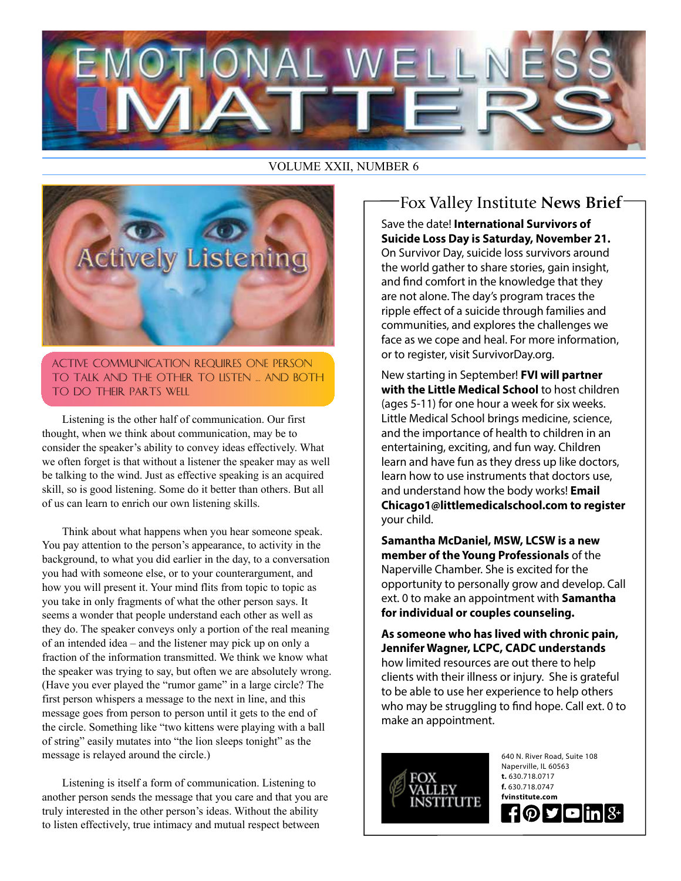

#### VOLUME XXII, NUMBER 6



Active Communication Requires One Person to Talk and the Other to Listen ... and Both to Do Their Parts Well

Listening is the other half of communication. Our first thought, when we think about communication, may be to consider the speaker's ability to convey ideas effectively. What we often forget is that without a listener the speaker may as well be talking to the wind. Just as effective speaking is an acquired skill, so is good listening. Some do it better than others. But all of us can learn to enrich our own listening skills.

Think about what happens when you hear someone speak. You pay attention to the person's appearance, to activity in the background, to what you did earlier in the day, to a conversation you had with someone else, or to your counterargument, and how you will present it. Your mind flits from topic to topic as you take in only fragments of what the other person says. It seems a wonder that people understand each other as well as they do. The speaker conveys only a portion of the real meaning of an intended idea – and the listener may pick up on only a fraction of the information transmitted. We think we know what the speaker was trying to say, but often we are absolutely wrong. (Have you ever played the "rumor game" in a large circle? The first person whispers a message to the next in line, and this message goes from person to person until it gets to the end of the circle. Something like "two kittens were playing with a ball of string" easily mutates into "the lion sleeps tonight" as the message is relayed around the circle.)

Listening is itself a form of communication. Listening to another person sends the message that you care and that you are truly interested in the other person's ideas. Without the ability to listen effectively, true intimacy and mutual respect between

## Save the date! **International Survivors of**  Fox Valley Institute **News Brief**

**Suicide Loss Day is Saturday, November 21.** On Survivor Day, suicide loss survivors around the world gather to share stories, gain insight, and find comfort in the knowledge that they are not alone. The day's program traces the ripple effect of a suicide through families and communities, and explores the challenges we face as we cope and heal. For more information, or to register, visit SurvivorDay.org.

New starting in September! **FVI will partner with the Little Medical School** to host children (ages 5-11) for one hour a week for six weeks. Little Medical School brings medicine, science, and the importance of health to children in an entertaining, exciting, and fun way. Children learn and have fun as they dress up like doctors, learn how to use instruments that doctors use, and understand how the body works! **Email Chicago1@littlemedicalschool.com to register** your child.

**Samantha McDaniel, MSW, LCSW is a new member of the Young Professionals** of the Naperville Chamber. She is excited for the opportunity to personally grow and develop. Call ext. 0 to make an appointment with **Samantha for individual or couples counseling.**

**As someone who has lived with chronic pain, Jennifer Wagner, LCPC, CADC understands** how limited resources are out there to help clients with their illness or injury. She is grateful to be able to use her experience to help others who may be struggling to find hope. Call ext. 0 to make an appointment.



640 N. River Road, Suite 108 Naperville, IL 60563 **t.** 630.718.0717 **f.** 630.718.0747 **fvinstitute.com HOP**  $\blacksquare$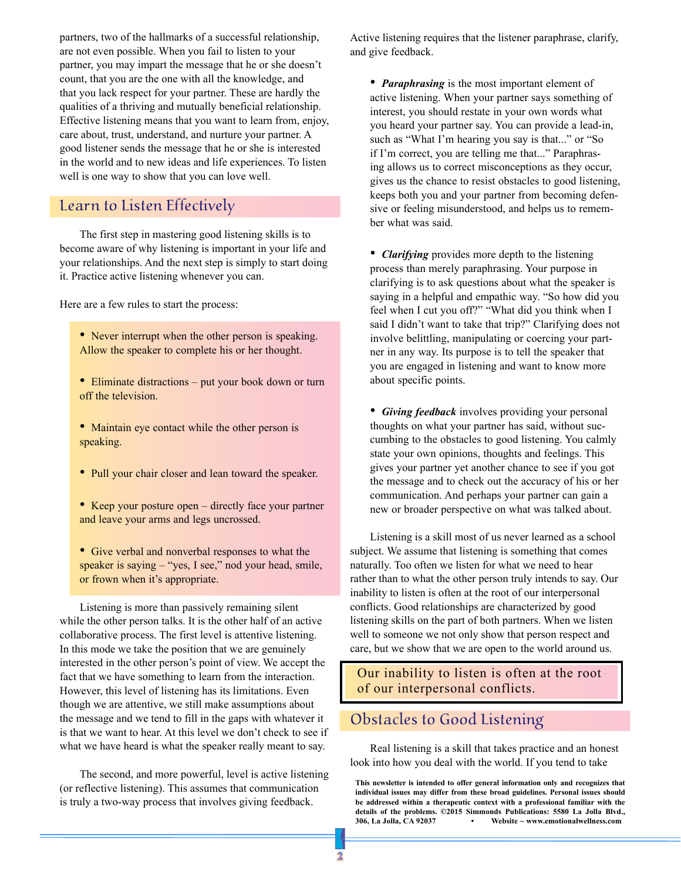partners, two of the hallmarks of a successful relationship, are not even possible. When you fail to listen to your partner, you may impart the message that he or she doesn't count, that you are the one with all the knowledge, and that you lack respect for your partner. These are hardly the qualities of a thriving and mutually beneficial relationship. Effective listening means that you want to learn from, enjoy, care about, trust, understand, and nurture your partner. A good listener sends the message that he or she is interested in the world and to new ideas and life experiences. To listen well is one way to show that you can love well.

#### Learn to Listen Effectively

The first step in mastering good listening skills is to become aware of why listening is important in your life and your relationships. And the next step is simply to start doing it. Practice active listening whenever you can.

Here are a few rules to start the process:

• Never interrupt when the other person is speaking. Allow the speaker to complete his or her thought.

- Eliminate distractions put your book down or turn off the television.
- Maintain eye contact while the other person is speaking.
- Pull your chair closer and lean toward the speaker.
- Keep your posture open directly face your partner and leave your arms and legs uncrossed.
- Give verbal and nonverbal responses to what the speaker is saying – "yes, I see," nod your head, smile, or frown when it's appropriate.

Listening is more than passively remaining silent while the other person talks. It is the other half of an active collaborative process. The first level is attentive listening. In this mode we take the position that we are genuinely interested in the other person's point of view. We accept the fact that we have something to learn from the interaction. However, this level of listening has its limitations. Even though we are attentive, we still make assumptions about the message and we tend to fill in the gaps with whatever it is that we want to hear. At this level we don't check to see if what we have heard is what the speaker really meant to say.

The second, and more powerful, level is active listening (or reflective listening). This assumes that communication is truly a two-way process that involves giving feedback.

Active listening requires that the listener paraphrase, clarify, and give feedback.

• *Paraphrasing* is the most important element of active listening. When your partner says something of interest, you should restate in your own words what you heard your partner say. You can provide a lead-in, such as "What I'm hearing you say is that..." or "So if I'm correct, you are telling me that..." Paraphrasing allows us to correct misconceptions as they occur, gives us the chance to resist obstacles to good listening, keeps both you and your partner from becoming defensive or feeling misunderstood, and helps us to remember what was said.

• *Clarifying* provides more depth to the listening process than merely paraphrasing. Your purpose in clarifying is to ask questions about what the speaker is saying in a helpful and empathic way. "So how did you feel when I cut you off?" "What did you think when I said I didn't want to take that trip?" Clarifying does not involve belittling, manipulating or coercing your partner in any way. Its purpose is to tell the speaker that you are engaged in listening and want to know more about specific points.

• *Giving feedback* involves providing your personal thoughts on what your partner has said, without succumbing to the obstacles to good listening. You calmly state your own opinions, thoughts and feelings. This gives your partner yet another chance to see if you got the message and to check out the accuracy of his or her communication. And perhaps your partner can gain a new or broader perspective on what was talked about.

Listening is a skill most of us never learned as a school subject. We assume that listening is something that comes naturally. Too often we listen for what we need to hear rather than to what the other person truly intends to say. Our inability to listen is often at the root of our interpersonal conflicts. Good relationships are characterized by good listening skills on the part of both partners. When we listen well to someone we not only show that person respect and care, but we show that we are open to the world around us.

Our inability to listen is often at the root of our interpersonal conflicts.

#### Obstacles to Good Listening

Real listening is a skill that takes practice and an honest look into how you deal with the world. If you tend to take

**This newsletter is intended to offer general information only and recognizes that individual issues may differ from these broad guidelines. Personal issues should be addressed within a therapeutic context with a professional familiar with the details of the problems. ©2015 Simmonds Publications: 5580 La Jolla Blvd., 306, La Jolla, CA 92037 • Website ~ www.emotionalwellness.com**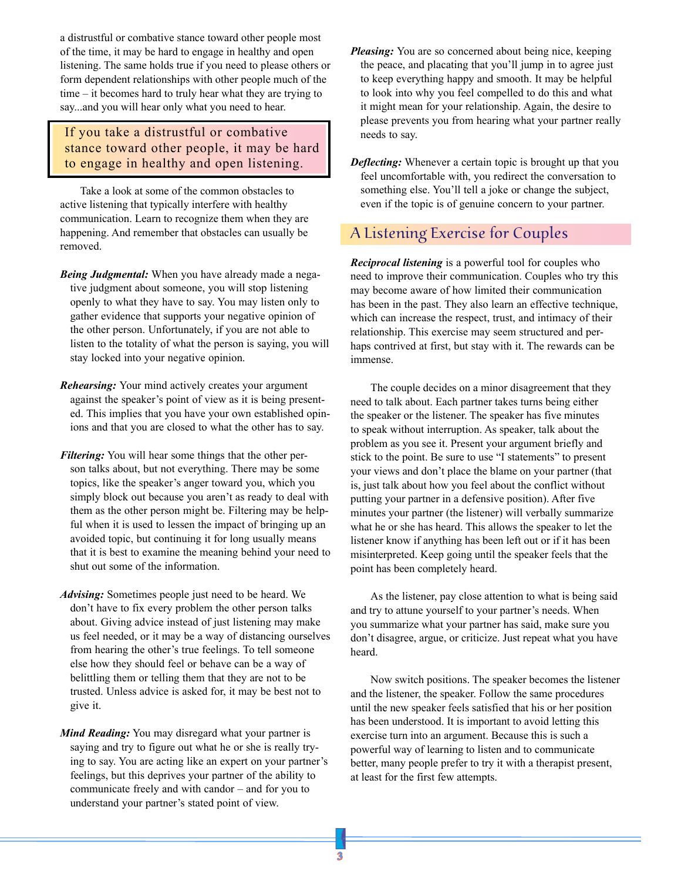a distrustful or combative stance toward other people most of the time, it may be hard to engage in healthy and open listening. The same holds true if you need to please others or form dependent relationships with other people much of the time – it becomes hard to truly hear what they are trying to say...and you will hear only what you need to hear.

If you take a distrustful or combative stance toward other people, it may be hard to engage in healthy and open listening.

Take a look at some of the common obstacles to active listening that typically interfere with healthy communication. Learn to recognize them when they are happening. And remember that obstacles can usually be removed.

- *Being Judgmental:* When you have already made a negative judgment about someone, you will stop listening openly to what they have to say. You may listen only to gather evidence that supports your negative opinion of the other person. Unfortunately, if you are not able to listen to the totality of what the person is saying, you will stay locked into your negative opinion.
- *Rehearsing:* Your mind actively creates your argument against the speaker's point of view as it is being presented. This implies that you have your own established opinions and that you are closed to what the other has to say.
- *Filtering:* You will hear some things that the other person talks about, but not everything. There may be some topics, like the speaker's anger toward you, which you simply block out because you aren't as ready to deal with them as the other person might be. Filtering may be helpful when it is used to lessen the impact of bringing up an avoided topic, but continuing it for long usually means that it is best to examine the meaning behind your need to shut out some of the information.
- *Advising:* Sometimes people just need to be heard. We don't have to fix every problem the other person talks about. Giving advice instead of just listening may make us feel needed, or it may be a way of distancing ourselves from hearing the other's true feelings. To tell someone else how they should feel or behave can be a way of belittling them or telling them that they are not to be trusted. Unless advice is asked for, it may be best not to give it.
- *Mind Reading:* You may disregard what your partner is saying and try to figure out what he or she is really trying to say. You are acting like an expert on your partner's feelings, but this deprives your partner of the ability to communicate freely and with candor – and for you to understand your partner's stated point of view.
- *Pleasing:* You are so concerned about being nice, keeping the peace, and placating that you'll jump in to agree just to keep everything happy and smooth. It may be helpful to look into why you feel compelled to do this and what it might mean for your relationship. Again, the desire to please prevents you from hearing what your partner really needs to say.
- *Deflecting:* Whenever a certain topic is brought up that you feel uncomfortable with, you redirect the conversation to something else. You'll tell a joke or change the subject, even if the topic is of genuine concern to your partner.

### A Listening Exercise for Couples

*Reciprocal listening* is a powerful tool for couples who need to improve their communication. Couples who try this may become aware of how limited their communication has been in the past. They also learn an effective technique, which can increase the respect, trust, and intimacy of their relationship. This exercise may seem structured and perhaps contrived at first, but stay with it. The rewards can be immense.

The couple decides on a minor disagreement that they need to talk about. Each partner takes turns being either the speaker or the listener. The speaker has five minutes to speak without interruption. As speaker, talk about the problem as you see it. Present your argument briefly and stick to the point. Be sure to use "I statements" to present your views and don't place the blame on your partner (that is, just talk about how you feel about the conflict without putting your partner in a defensive position). After five minutes your partner (the listener) will verbally summarize what he or she has heard. This allows the speaker to let the listener know if anything has been left out or if it has been misinterpreted. Keep going until the speaker feels that the point has been completely heard.

As the listener, pay close attention to what is being said and try to attune yourself to your partner's needs. When you summarize what your partner has said, make sure you don't disagree, argue, or criticize. Just repeat what you have heard.

Now switch positions. The speaker becomes the listener and the listener, the speaker. Follow the same procedures until the new speaker feels satisfied that his or her position has been understood. It is important to avoid letting this exercise turn into an argument. Because this is such a powerful way of learning to listen and to communicate better, many people prefer to try it with a therapist present, at least for the first few attempts.